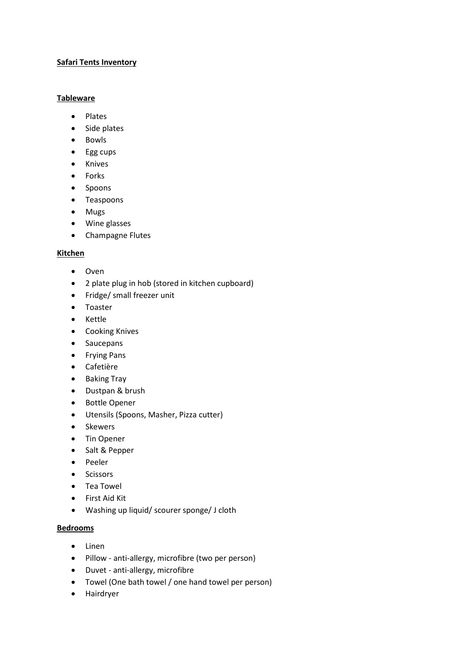### **Safari Tents Inventory**

#### **Tableware**

- Plates
- Side plates
- Bowls
- Egg cups
- Knives
- Forks
- Spoons
- Teaspoons
- Mugs
- Wine glasses
- Champagne Flutes

### **Kitchen**

- Oven
- 2 plate plug in hob (stored in kitchen cupboard)
- Fridge/ small freezer unit
- Toaster
- Kettle
- Cooking Knives
- Saucepans
- Frying Pans
- Cafetière
- Baking Tray
- Dustpan & brush
- Bottle Opener
- Utensils (Spoons, Masher, Pizza cutter)
- Skewers
- Tin Opener
- Salt & Pepper
- Peeler
- Scissors
- Tea Towel
- First Aid Kit
- Washing up liquid/ scourer sponge/ J cloth

### **Bedrooms**

- Linen
- Pillow anti-allergy, microfibre (two per person)
- Duvet anti-allergy, microfibre
- Towel (One bath towel / one hand towel per person)
- Hairdryer